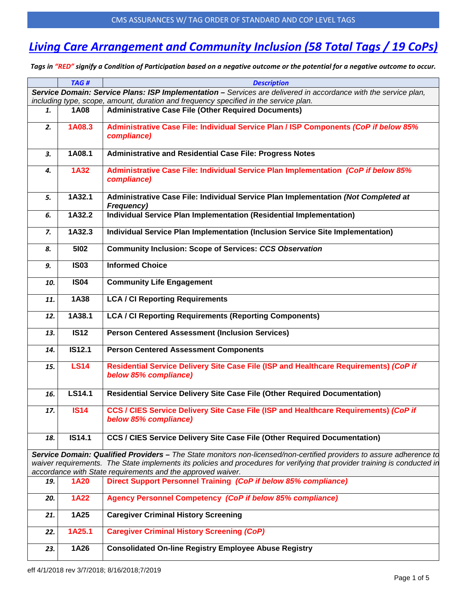## *Living Care Arrangement and Community Inclusion (58 Total Tags / 19 CoPs)*

*Tags in "RED" signify a Condition of Participation based on a negative outcome or the potential for a negative outcome to occur.*

|                                                                                                                 | TAG#          | <b>Description</b>                                                                                                                                                                        |  |
|-----------------------------------------------------------------------------------------------------------------|---------------|-------------------------------------------------------------------------------------------------------------------------------------------------------------------------------------------|--|
| Service Domain: Service Plans: ISP Implementation - Services are delivered in accordance with the service plan, |               |                                                                                                                                                                                           |  |
|                                                                                                                 |               | including type, scope, amount, duration and frequency specified in the service plan.                                                                                                      |  |
| 1.                                                                                                              | 1A08          | <b>Administrative Case File (Other Required Documents)</b>                                                                                                                                |  |
| 2.                                                                                                              | 1A08.3        | Administrative Case File: Individual Service Plan / ISP Components (CoP if below 85%<br>compliance)                                                                                       |  |
| 3.                                                                                                              | 1A08.1        | <b>Administrative and Residential Case File: Progress Notes</b>                                                                                                                           |  |
| 4.                                                                                                              | <b>1A32</b>   | Administrative Case File: Individual Service Plan Implementation (CoP if below 85%<br>compliance)                                                                                         |  |
| 5.                                                                                                              | 1A32.1        | Administrative Case File: Individual Service Plan Implementation (Not Completed at<br><b>Frequency)</b>                                                                                   |  |
| 6.                                                                                                              | 1A32.2        | Individual Service Plan Implementation (Residential Implementation)                                                                                                                       |  |
| 7.                                                                                                              | 1A32.3        | Individual Service Plan Implementation (Inclusion Service Site Implementation)                                                                                                            |  |
| 8.                                                                                                              | 5102          | <b>Community Inclusion: Scope of Services: CCS Observation</b>                                                                                                                            |  |
| 9.                                                                                                              | <b>IS03</b>   | <b>Informed Choice</b>                                                                                                                                                                    |  |
| 10.                                                                                                             | <b>IS04</b>   | <b>Community Life Engagement</b>                                                                                                                                                          |  |
| 11.                                                                                                             | 1A38          | <b>LCA / CI Reporting Requirements</b>                                                                                                                                                    |  |
| 12.                                                                                                             | 1A38.1        | <b>LCA / CI Reporting Requirements (Reporting Components)</b>                                                                                                                             |  |
| 13.                                                                                                             | <b>IS12</b>   | <b>Person Centered Assessment (Inclusion Services)</b>                                                                                                                                    |  |
| 14.                                                                                                             | <b>IS12.1</b> | <b>Person Centered Assessment Components</b>                                                                                                                                              |  |
| 15.                                                                                                             | <b>LS14</b>   | Residential Service Delivery Site Case File (ISP and Healthcare Requirements) (CoP if<br>below 85% compliance)                                                                            |  |
| 16.                                                                                                             | LS14.1        | <b>Residential Service Delivery Site Case File (Other Required Documentation)</b>                                                                                                         |  |
| 17.                                                                                                             | <b>IS14</b>   | CCS / CIES Service Delivery Site Case File (ISP and Healthcare Requirements) (CoP if<br>below 85% compliance)                                                                             |  |
| 18.                                                                                                             | <b>IS14.1</b> | <b>CCS / CIES Service Delivery Site Case File (Other Required Documentation)</b>                                                                                                          |  |
|                                                                                                                 |               | Service Domain: Qualified Providers - The State monitors non-licensed/non-certified providers to assure adherence to                                                                      |  |
|                                                                                                                 |               | waiver requirements. The State implements its policies and procedures for verifying that provider training is conducted in<br>accordance with State requirements and the approved waiver. |  |
| 19.                                                                                                             | <b>1A20</b>   | Direct Support Personnel Training (CoP if below 85% compliance)                                                                                                                           |  |
| 20.                                                                                                             | <b>1A22</b>   | Agency Personnel Competency (CoP if below 85% compliance)                                                                                                                                 |  |
| 21.                                                                                                             | 1A25          | <b>Caregiver Criminal History Screening</b>                                                                                                                                               |  |
| 22.                                                                                                             | 1A25.1        | <b>Caregiver Criminal History Screening (CoP)</b>                                                                                                                                         |  |
| 23.                                                                                                             | 1A26          | <b>Consolidated On-line Registry Employee Abuse Registry</b>                                                                                                                              |  |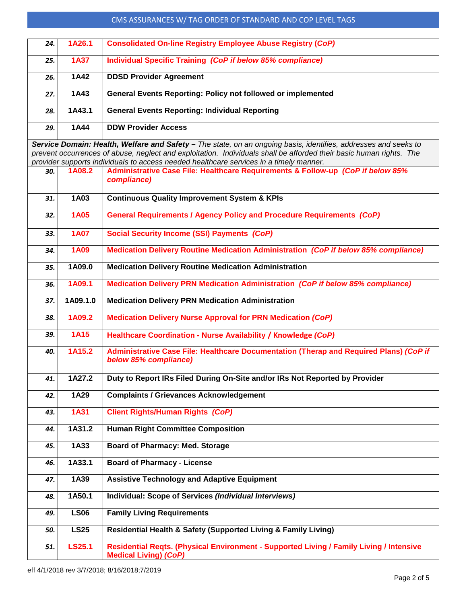#### CMS ASSURANCES W/ TAG ORDER OF STANDARD AND COP LEVEL TAGS

| 24. | 1A26.1      | <b>Consolidated On-line Registry Employee Abuse Registry (CoP)</b>  |
|-----|-------------|---------------------------------------------------------------------|
| 25. | <b>1A37</b> | Individual Specific Training (CoP if below 85% compliance)          |
| 26. | 1A42        | <b>DDSD Provider Agreement</b>                                      |
| 27. | 1A43        | <b>General Events Reporting: Policy not followed or implemented</b> |
| 28. | 1A43.1      | <b>General Events Reporting: Individual Reporting</b>               |
| 29. | 1A44        | <b>DDW Provider Access</b>                                          |

*Service Domain: Health, Welfare and Safety – The state, on an ongoing basis, identifies, addresses and seeks to prevent occurrences of abuse, neglect and exploitation. Individuals shall be afforded their basic human rights. The provider supports individuals to access needed healthcare services in a timely manner.*

| 30. | 1A08.2        | <b>Administrative Case File: Healthcare Requirements &amp; Follow-up (CoP if below 85%</b><br>compliance)               |
|-----|---------------|-------------------------------------------------------------------------------------------------------------------------|
| 31. | 1A03          | <b>Continuous Quality Improvement System &amp; KPIs</b>                                                                 |
| 32. | 1A05          | <b>General Requirements / Agency Policy and Procedure Requirements (CoP)</b>                                            |
| 33. | <b>1A07</b>   | <b>Social Security Income (SSI) Payments (CoP)</b>                                                                      |
| 34. | 1A09          | <b>Medication Delivery Routine Medication Administration (CoP if below 85% compliance)</b>                              |
| 35. | 1A09.0        | <b>Medication Delivery Routine Medication Administration</b>                                                            |
| 36. | 1A09.1        | Medication Delivery PRN Medication Administration (CoP if below 85% compliance)                                         |
| 37. | 1A09.1.0      | <b>Medication Delivery PRN Medication Administration</b>                                                                |
| 38. | 1A09.2        | <b>Medication Delivery Nurse Approval for PRN Medication (CoP)</b>                                                      |
| 39. | <b>1A15</b>   | Healthcare Coordination - Nurse Availability / Knowledge (CoP)                                                          |
| 40. | 1A15.2        | Administrative Case File: Healthcare Documentation (Therap and Required Plans) (CoP if<br>below 85% compliance)         |
| 41. | 1A27.2        | Duty to Report IRs Filed During On-Site and/or IRs Not Reported by Provider                                             |
| 42. | 1A29          | <b>Complaints / Grievances Acknowledgement</b>                                                                          |
| 43. | 1A31          | <b>Client Rights/Human Rights (CoP)</b>                                                                                 |
| 44. | 1A31.2        | <b>Human Right Committee Composition</b>                                                                                |
| 45. | 1A33          | <b>Board of Pharmacy: Med. Storage</b>                                                                                  |
| 46. | 1A33.1        | <b>Board of Pharmacy - License</b>                                                                                      |
| 47. | 1A39          | <b>Assistive Technology and Adaptive Equipment</b>                                                                      |
| 48. | 1A50.1        | Individual: Scope of Services (Individual Interviews)                                                                   |
| 49. | <b>LS06</b>   | <b>Family Living Requirements</b>                                                                                       |
| 50. | <b>LS25</b>   | Residential Health & Safety (Supported Living & Family Living)                                                          |
| 51. | <b>LS25.1</b> | Residential Regts. (Physical Environment - Supported Living / Family Living / Intensive<br><b>Medical Living) (CoP)</b> |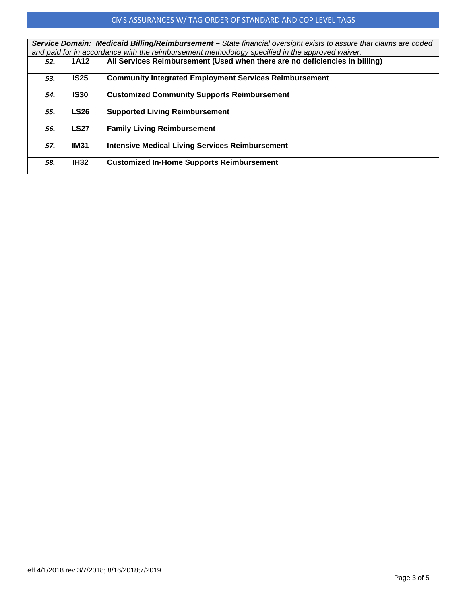### CMS ASSURANCES W/ TAG ORDER OF STANDARD AND COP LEVEL TAGS

| Service Domain: Medicaid Billing/Reimbursement - State financial oversight exists to assure that claims are coded |             |                                                                             |  |
|-------------------------------------------------------------------------------------------------------------------|-------------|-----------------------------------------------------------------------------|--|
| and paid for in accordance with the reimbursement methodology specified in the approved waiver.                   |             |                                                                             |  |
| 52.                                                                                                               | 1A12        | All Services Reimbursement (Used when there are no deficiencies in billing) |  |
| 53.                                                                                                               | <b>IS25</b> | <b>Community Integrated Employment Services Reimbursement</b>               |  |
| 54.                                                                                                               | <b>IS30</b> | <b>Customized Community Supports Reimbursement</b>                          |  |
| 55.                                                                                                               | <b>LS26</b> | <b>Supported Living Reimbursement</b>                                       |  |
| 56.                                                                                                               | <b>LS27</b> | <b>Family Living Reimbursement</b>                                          |  |
| 57.                                                                                                               | <b>IM31</b> | <b>Intensive Medical Living Services Reimbursement</b>                      |  |
| 58.                                                                                                               | <b>IH32</b> | <b>Customized In-Home Supports Reimbursement</b>                            |  |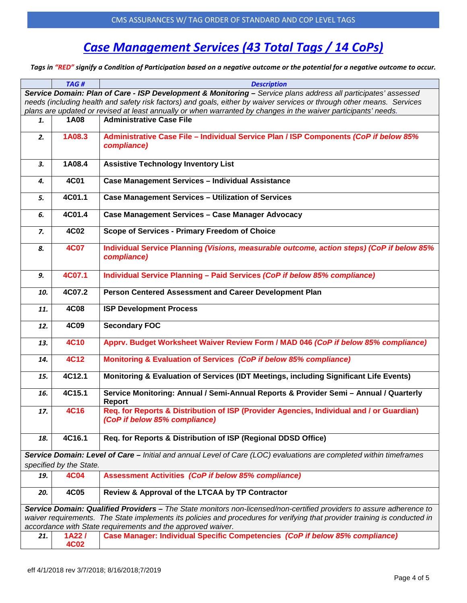# *Case Management Services (43 Total Tags / 14 CoPs)*

*Tags in "RED" signify a Condition of Participation based on a negative outcome or the potential for a negative outcome to occur.*

|                                                                                                                            | TAG#                    | <b>Description</b>                                                                                                        |
|----------------------------------------------------------------------------------------------------------------------------|-------------------------|---------------------------------------------------------------------------------------------------------------------------|
|                                                                                                                            |                         | Service Domain: Plan of Care - ISP Development & Monitoring - Service plans address all participates' assessed            |
|                                                                                                                            |                         | needs (including health and safety risk factors) and goals, either by waiver services or through other means. Services    |
|                                                                                                                            |                         | plans are updated or revised at least annually or when warranted by changes in the waiver participants' needs.            |
| 1.                                                                                                                         | 1A08                    | <b>Administrative Case File</b>                                                                                           |
| 2.                                                                                                                         | 1A08.3                  | Administrative Case File - Individual Service Plan / ISP Components (CoP if below 85%<br>compliance)                      |
| 3.                                                                                                                         | 1A08.4                  | <b>Assistive Technology Inventory List</b>                                                                                |
| 4.                                                                                                                         | 4C01                    | <b>Case Management Services - Individual Assistance</b>                                                                   |
| 5.                                                                                                                         | 4C01.1                  | <b>Case Management Services - Utilization of Services</b>                                                                 |
| 6.                                                                                                                         | 4C01.4                  | Case Management Services - Case Manager Advocacy                                                                          |
| 7.                                                                                                                         | 4C02                    | Scope of Services - Primary Freedom of Choice                                                                             |
| 8.                                                                                                                         | <b>4C07</b>             | Individual Service Planning (Visions, measurable outcome, action steps) (CoP if below 85%<br>compliance)                  |
| 9.                                                                                                                         | 4C07.1                  | Individual Service Planning - Paid Services (CoP if below 85% compliance)                                                 |
| 10.                                                                                                                        | 4C07.2                  | Person Centered Assessment and Career Development Plan                                                                    |
| 11.                                                                                                                        | <b>4C08</b>             | <b>ISP Development Process</b>                                                                                            |
| 12.                                                                                                                        | 4C09                    | <b>Secondary FOC</b>                                                                                                      |
| 13.                                                                                                                        | <b>4C10</b>             | Apprv. Budget Worksheet Waiver Review Form / MAD 046 (CoP if below 85% compliance)                                        |
| 14.                                                                                                                        | <b>4C12</b>             | Monitoring & Evaluation of Services (CoP if below 85% compliance)                                                         |
| 15.                                                                                                                        | 4C12.1                  | Monitoring & Evaluation of Services (IDT Meetings, including Significant Life Events)                                     |
| 16.                                                                                                                        | 4C15.1                  | Service Monitoring: Annual / Semi-Annual Reports & Provider Semi - Annual / Quarterly<br>Report                           |
| 17.                                                                                                                        | <b>4C16</b>             | Reg. for Reports & Distribution of ISP (Provider Agencies, Individual and / or Guardian)<br>(CoP if below 85% compliance) |
| 18.                                                                                                                        | 4C16.1                  | Req. for Reports & Distribution of ISP (Regional DDSD Office)                                                             |
|                                                                                                                            |                         | Service Domain: Level of Care - Initial and annual Level of Care (LOC) evaluations are completed within timeframes        |
|                                                                                                                            | specified by the State. |                                                                                                                           |
| 19.                                                                                                                        | <b>4C04</b>             | <b>Assessment Activities (CoP if below 85% compliance)</b>                                                                |
| 20.                                                                                                                        | <b>4C05</b>             | Review & Approval of the LTCAA by TP Contractor                                                                           |
| Service Domain: Qualified Providers - The State monitors non-licensed/non-certified providers to assure adherence to       |                         |                                                                                                                           |
| waiver requirements. The State implements its policies and procedures for verifying that provider training is conducted in |                         |                                                                                                                           |
| accordance with State requirements and the approved waiver.                                                                |                         |                                                                                                                           |
| 21.                                                                                                                        | 1A22I<br><b>4C02</b>    | Case Manager: Individual Specific Competencies (CoP if below 85% compliance)                                              |